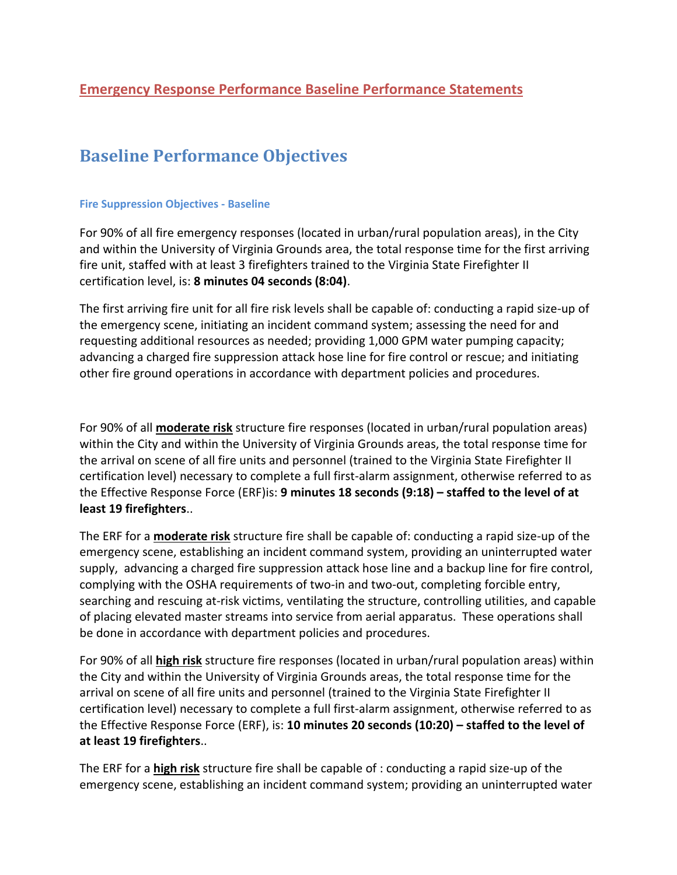# **Baseline Performance Objectives**

#### **Fire Suppression Objectives - Baseline**

For 90% of all fire emergency responses (located in urban/rural population areas), in the City and within the University of Virginia Grounds area, the total response time for the first arriving fire unit, staffed with at least 3 firefighters trained to the Virginia State Firefighter II certification level, is: **8 minutes 04 seconds (8:04)**.

The first arriving fire unit for all fire risk levels shall be capable of: conducting a rapid size-up of the emergency scene, initiating an incident command system; assessing the need for and requesting additional resources as needed; providing 1,000 GPM water pumping capacity; advancing a charged fire suppression attack hose line for fire control or rescue; and initiating other fire ground operations in accordance with department policies and procedures.

For 90% of all **moderate risk** structure fire responses (located in urban/rural population areas) within the City and within the University of Virginia Grounds areas, the total response time for the arrival on scene of all fire units and personnel (trained to the Virginia State Firefighter II certification level) necessary to complete a full first-alarm assignment, otherwise referred to as the Effective Response Force (ERF)is: **9 minutes 18 seconds (9:18) – staffed to the level of at least 19 firefighters**..

The ERF for a **moderate risk** structure fire shall be capable of: conducting a rapid size-up of the emergency scene, establishing an incident command system, providing an uninterrupted water supply, advancing a charged fire suppression attack hose line and a backup line for fire control, complying with the OSHA requirements of two-in and two-out, completing forcible entry, searching and rescuing at-risk victims, ventilating the structure, controlling utilities, and capable of placing elevated master streams into service from aerial apparatus. These operations shall be done in accordance with department policies and procedures.

For 90% of all **high risk** structure fire responses (located in urban/rural population areas) within the City and within the University of Virginia Grounds areas, the total response time for the arrival on scene of all fire units and personnel (trained to the Virginia State Firefighter II certification level) necessary to complete a full first-alarm assignment, otherwise referred to as the Effective Response Force (ERF), is: **10 minutes 20 seconds (10:20) – staffed to the level of at least 19 firefighters**..

The ERF for a **high risk** structure fire shall be capable of : conducting a rapid size-up of the emergency scene, establishing an incident command system; providing an uninterrupted water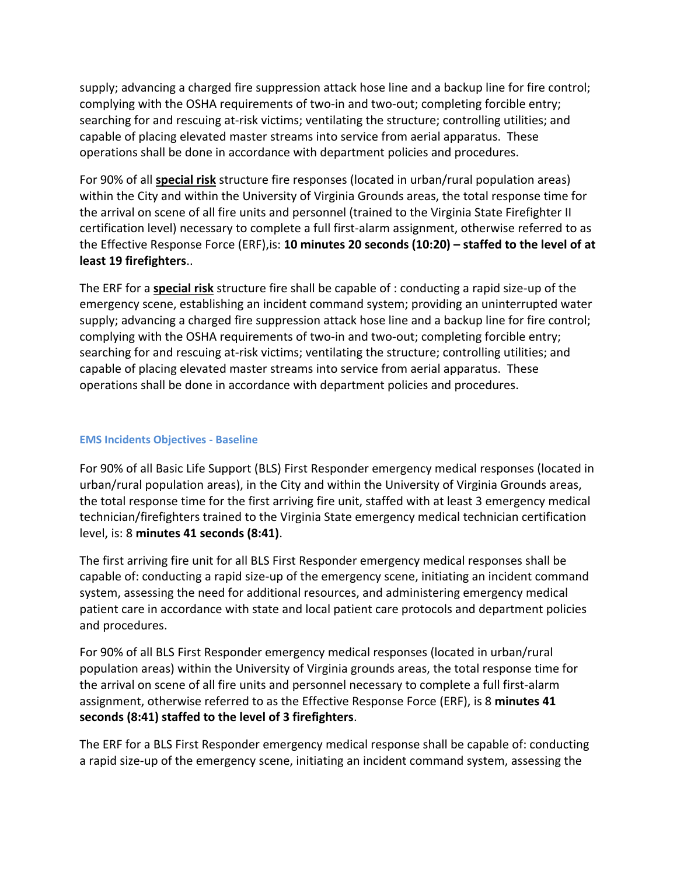supply; advancing a charged fire suppression attack hose line and a backup line for fire control; complying with the OSHA requirements of two-in and two-out; completing forcible entry; searching for and rescuing at-risk victims; ventilating the structure; controlling utilities; and capable of placing elevated master streams into service from aerial apparatus. These operations shall be done in accordance with department policies and procedures.

For 90% of all **special risk** structure fire responses (located in urban/rural population areas) within the City and within the University of Virginia Grounds areas, the total response time for the arrival on scene of all fire units and personnel (trained to the Virginia State Firefighter II certification level) necessary to complete a full first-alarm assignment, otherwise referred to as the Effective Response Force (ERF),is: **10 minutes 20 seconds (10:20) – staffed to the level of at least 19 firefighters**..

The ERF for a **special risk** structure fire shall be capable of : conducting a rapid size-up of the emergency scene, establishing an incident command system; providing an uninterrupted water supply; advancing a charged fire suppression attack hose line and a backup line for fire control; complying with the OSHA requirements of two-in and two-out; completing forcible entry; searching for and rescuing at-risk victims; ventilating the structure; controlling utilities; and capable of placing elevated master streams into service from aerial apparatus. These operations shall be done in accordance with department policies and procedures.

## **EMS Incidents Objectives - Baseline**

For 90% of all Basic Life Support (BLS) First Responder emergency medical responses (located in urban/rural population areas), in the City and within the University of Virginia Grounds areas, the total response time for the first arriving fire unit, staffed with at least 3 emergency medical technician/firefighters trained to the Virginia State emergency medical technician certification level, is: 8 **minutes 41 seconds (8:41)**.

The first arriving fire unit for all BLS First Responder emergency medical responses shall be capable of: conducting a rapid size-up of the emergency scene, initiating an incident command system, assessing the need for additional resources, and administering emergency medical patient care in accordance with state and local patient care protocols and department policies and procedures.

For 90% of all BLS First Responder emergency medical responses (located in urban/rural population areas) within the University of Virginia grounds areas, the total response time for the arrival on scene of all fire units and personnel necessary to complete a full first-alarm assignment, otherwise referred to as the Effective Response Force (ERF), is 8 **minutes 41 seconds (8:41) staffed to the level of 3 firefighters**.

The ERF for a BLS First Responder emergency medical response shall be capable of: conducting a rapid size-up of the emergency scene, initiating an incident command system, assessing the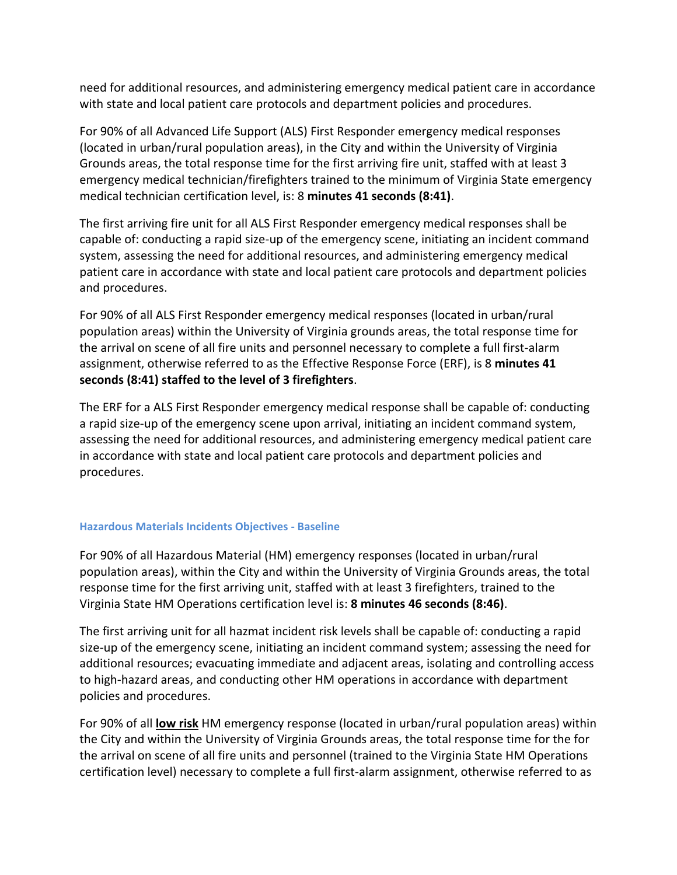need for additional resources, and administering emergency medical patient care in accordance with state and local patient care protocols and department policies and procedures.

For 90% of all Advanced Life Support (ALS) First Responder emergency medical responses (located in urban/rural population areas), in the City and within the University of Virginia Grounds areas, the total response time for the first arriving fire unit, staffed with at least 3 emergency medical technician/firefighters trained to the minimum of Virginia State emergency medical technician certification level, is: 8 **minutes 41 seconds (8:41)**.

The first arriving fire unit for all ALS First Responder emergency medical responses shall be capable of: conducting a rapid size-up of the emergency scene, initiating an incident command system, assessing the need for additional resources, and administering emergency medical patient care in accordance with state and local patient care protocols and department policies and procedures.

For 90% of all ALS First Responder emergency medical responses (located in urban/rural population areas) within the University of Virginia grounds areas, the total response time for the arrival on scene of all fire units and personnel necessary to complete a full first-alarm assignment, otherwise referred to as the Effective Response Force (ERF), is 8 **minutes 41 seconds (8:41) staffed to the level of 3 firefighters**.

The ERF for a ALS First Responder emergency medical response shall be capable of: conducting a rapid size-up of the emergency scene upon arrival, initiating an incident command system, assessing the need for additional resources, and administering emergency medical patient care in accordance with state and local patient care protocols and department policies and procedures.

## **Hazardous Materials Incidents Objectives - Baseline**

For 90% of all Hazardous Material (HM) emergency responses (located in urban/rural population areas), within the City and within the University of Virginia Grounds areas, the total response time for the first arriving unit, staffed with at least 3 firefighters, trained to the Virginia State HM Operations certification level is: **8 minutes 46 seconds (8:46)**.

The first arriving unit for all hazmat incident risk levels shall be capable of: conducting a rapid size-up of the emergency scene, initiating an incident command system; assessing the need for additional resources; evacuating immediate and adjacent areas, isolating and controlling access to high-hazard areas, and conducting other HM operations in accordance with department policies and procedures.

For 90% of all **low risk** HM emergency response (located in urban/rural population areas) within the City and within the University of Virginia Grounds areas, the total response time for the for the arrival on scene of all fire units and personnel (trained to the Virginia State HM Operations certification level) necessary to complete a full first-alarm assignment, otherwise referred to as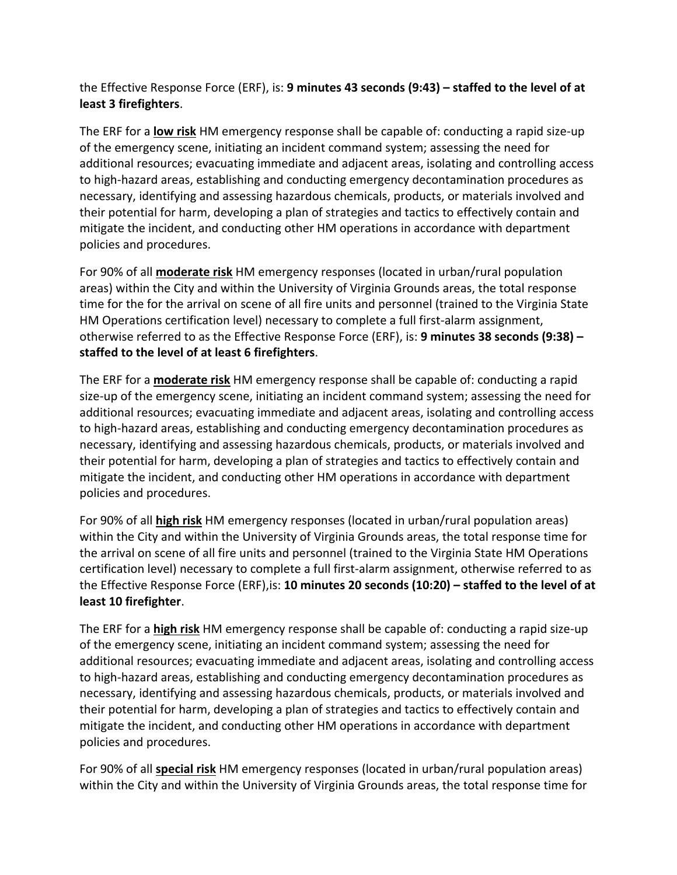the Effective Response Force (ERF), is: **9 minutes 43 seconds (9:43) – staffed to the level of at least 3 firefighters**.

The ERF for a **low risk** HM emergency response shall be capable of: conducting a rapid size-up of the emergency scene, initiating an incident command system; assessing the need for additional resources; evacuating immediate and adjacent areas, isolating and controlling access to high-hazard areas, establishing and conducting emergency decontamination procedures as necessary, identifying and assessing hazardous chemicals, products, or materials involved and their potential for harm, developing a plan of strategies and tactics to effectively contain and mitigate the incident, and conducting other HM operations in accordance with department policies and procedures.

For 90% of all **moderate risk** HM emergency responses (located in urban/rural population areas) within the City and within the University of Virginia Grounds areas, the total response time for the for the arrival on scene of all fire units and personnel (trained to the Virginia State HM Operations certification level) necessary to complete a full first-alarm assignment, otherwise referred to as the Effective Response Force (ERF), is: **9 minutes 38 seconds (9:38) – staffed to the level of at least 6 firefighters**.

The ERF for a **moderate risk** HM emergency response shall be capable of: conducting a rapid size-up of the emergency scene, initiating an incident command system; assessing the need for additional resources; evacuating immediate and adjacent areas, isolating and controlling access to high-hazard areas, establishing and conducting emergency decontamination procedures as necessary, identifying and assessing hazardous chemicals, products, or materials involved and their potential for harm, developing a plan of strategies and tactics to effectively contain and mitigate the incident, and conducting other HM operations in accordance with department policies and procedures.

For 90% of all **high risk** HM emergency responses (located in urban/rural population areas) within the City and within the University of Virginia Grounds areas, the total response time for the arrival on scene of all fire units and personnel (trained to the Virginia State HM Operations certification level) necessary to complete a full first-alarm assignment, otherwise referred to as the Effective Response Force (ERF),is: **10 minutes 20 seconds (10:20) – staffed to the level of at least 10 firefighter**.

The ERF for a **high risk** HM emergency response shall be capable of: conducting a rapid size-up of the emergency scene, initiating an incident command system; assessing the need for additional resources; evacuating immediate and adjacent areas, isolating and controlling access to high-hazard areas, establishing and conducting emergency decontamination procedures as necessary, identifying and assessing hazardous chemicals, products, or materials involved and their potential for harm, developing a plan of strategies and tactics to effectively contain and mitigate the incident, and conducting other HM operations in accordance with department policies and procedures.

For 90% of all **special risk** HM emergency responses (located in urban/rural population areas) within the City and within the University of Virginia Grounds areas, the total response time for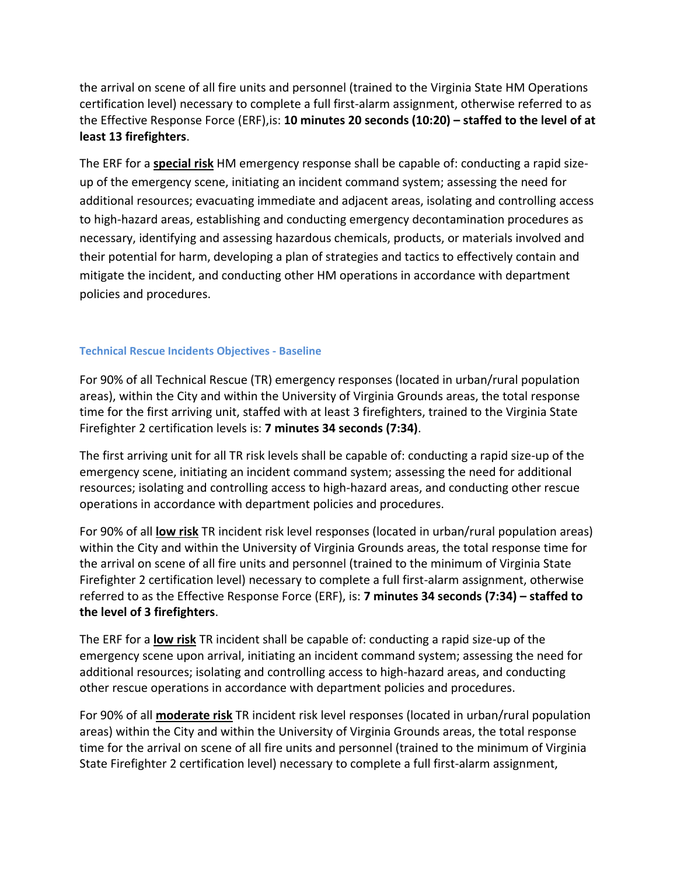the arrival on scene of all fire units and personnel (trained to the Virginia State HM Operations certification level) necessary to complete a full first-alarm assignment, otherwise referred to as the Effective Response Force (ERF),is: **10 minutes 20 seconds (10:20) – staffed to the level of at least 13 firefighters**.

The ERF for a **special risk** HM emergency response shall be capable of: conducting a rapid sizeup of the emergency scene, initiating an incident command system; assessing the need for additional resources; evacuating immediate and adjacent areas, isolating and controlling access to high-hazard areas, establishing and conducting emergency decontamination procedures as necessary, identifying and assessing hazardous chemicals, products, or materials involved and their potential for harm, developing a plan of strategies and tactics to effectively contain and mitigate the incident, and conducting other HM operations in accordance with department policies and procedures.

#### **Technical Rescue Incidents Objectives - Baseline**

For 90% of all Technical Rescue (TR) emergency responses (located in urban/rural population areas), within the City and within the University of Virginia Grounds areas, the total response time for the first arriving unit, staffed with at least 3 firefighters, trained to the Virginia State Firefighter 2 certification levels is: **7 minutes 34 seconds (7:34)**.

The first arriving unit for all TR risk levels shall be capable of: conducting a rapid size-up of the emergency scene, initiating an incident command system; assessing the need for additional resources; isolating and controlling access to high-hazard areas, and conducting other rescue operations in accordance with department policies and procedures.

For 90% of all **low risk** TR incident risk level responses (located in urban/rural population areas) within the City and within the University of Virginia Grounds areas, the total response time for the arrival on scene of all fire units and personnel (trained to the minimum of Virginia State Firefighter 2 certification level) necessary to complete a full first-alarm assignment, otherwise referred to as the Effective Response Force (ERF), is: **7 minutes 34 seconds (7:34) – staffed to the level of 3 firefighters**.

The ERF for a **low risk** TR incident shall be capable of: conducting a rapid size-up of the emergency scene upon arrival, initiating an incident command system; assessing the need for additional resources; isolating and controlling access to high-hazard areas, and conducting other rescue operations in accordance with department policies and procedures.

For 90% of all **moderate risk** TR incident risk level responses (located in urban/rural population areas) within the City and within the University of Virginia Grounds areas, the total response time for the arrival on scene of all fire units and personnel (trained to the minimum of Virginia State Firefighter 2 certification level) necessary to complete a full first-alarm assignment,